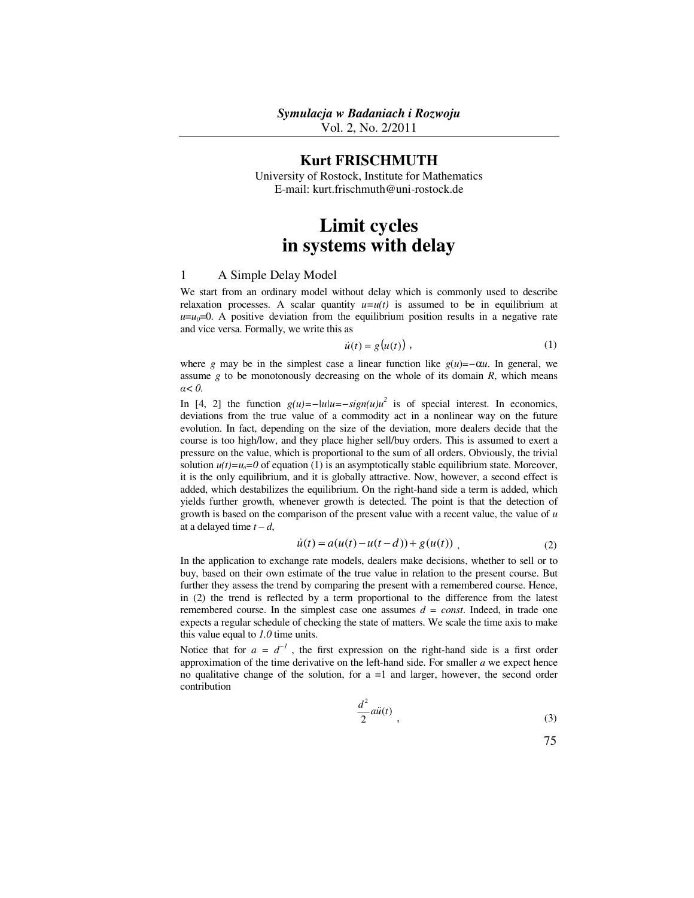Vol. 2, No. 2/2011

# **Kurt FRISCHMUTH**

University of Rostock, Institute for Mathematics E-mail: kurt.frischmuth@uni-rostock.de

# **Limit cycles in systems with delay**

### 1 A Simple Delay Model

We start from an ordinary model without delay which is commonly used to describe relaxation processes. A scalar quantity  $u=u(t)$  is assumed to be in equilibrium at  $u=u_0=0$ . A positive deviation from the equilibrium position results in a negative rate and vice versa. Formally, we write this as

$$
\dot{u}(t) = g(u(t)),\tag{1}
$$

where *g* may be in the simplest case a linear function like  $g(u) = -\alpha u$ . In general, we assume *g* to be monotonously decreasing on the whole of its domain *R*, which means *α< 0*.

In [4, 2] the function  $g(u) = -|u| = -sign(u)u^2$  is of special interest. In economics, deviations from the true value of a commodity act in a nonlinear way on the future evolution. In fact, depending on the size of the deviation, more dealers decide that the course is too high/low, and they place higher sell/buy orders. This is assumed to exert a pressure on the value, which is proportional to the sum of all orders. Obviously, the trivial solution  $u(t)=u_0=0$  of equation (1) is an asymptotically stable equilibrium state. Moreover, it is the only equilibrium, and it is globally attractive. Now, however, a second effect is added, which destabilizes the equilibrium. On the right-hand side a term is added, which yields further growth, whenever growth is detected. The point is that the detection of growth is based on the comparison of the present value with a recent value, the value of *u* at a delayed time  $t - d$ ,

$$
\dot{u}(t) = a(u(t) - u(t - d)) + g(u(t)),
$$
\n(2)

In the application to exchange rate models, dealers make decisions, whether to sell or to buy, based on their own estimate of the true value in relation to the present course. But further they assess the trend by comparing the present with a remembered course. Hence, in (2) the trend is reflected by a term proportional to the difference from the latest remembered course. In the simplest case one assumes  $d = const.$  Indeed, in trade one expects a regular schedule of checking the state of matters. We scale the time axis to make this value equal to *1.0* time units.

Notice that for  $a = d^{-1}$ , the first expression on the right-hand side is a first order approximation of the time derivative on the left-hand side. For smaller *a* we expect hence no qualitative change of the solution, for a =1 and larger, however, the second order contribution

$$
\frac{d^2}{2}a\ddot{u}(t) \tag{3}
$$

$$
75\,
$$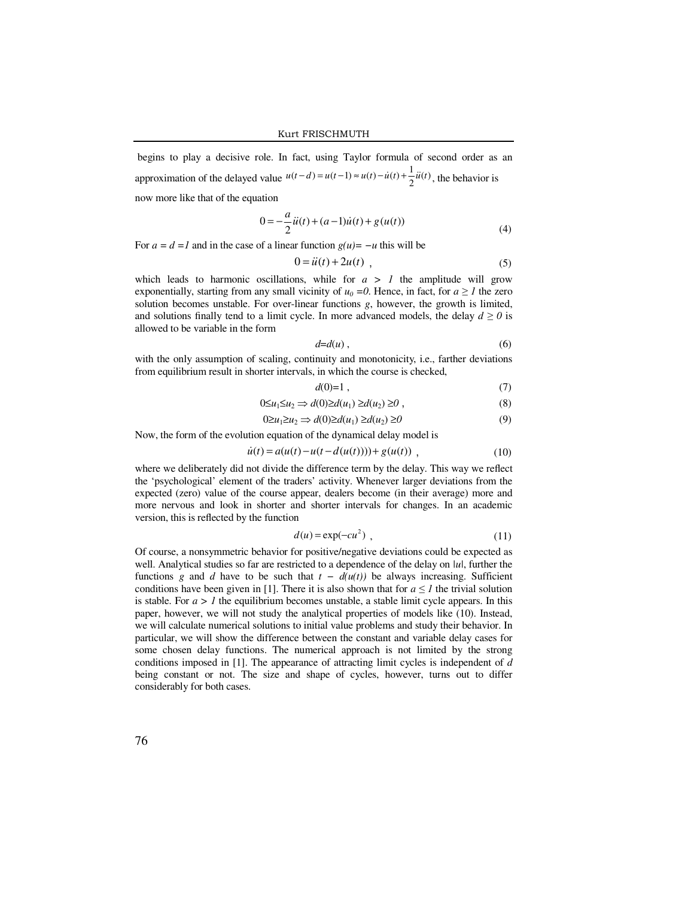begins to play a decisive role. In fact, using Taylor formula of second order as an approximation of the delayed value  $u(t-d) = u(t-1) \approx u(t) - \dot{u}(t) + \frac{1}{2} \ddot{u}(t)$  $u(t-d) = u(t-1) \approx u(t) - \dot{u}(t) + \frac{1}{2}\ddot{u}(t)$ , the behavior is now more like that of the equation

$$
0 = -\frac{a}{2}\ddot{u}(t) + (a-1)\dot{u}(t) + g(u(t))
$$
\n(4)

For  $a = d =1$  and in the case of a linear function  $g(u) = -u$  this will be

$$
0 = \ddot{u}(t) + 2u(t) \tag{5}
$$

which leads to harmonic oscillations, while for  $a > 1$  the amplitude will grow exponentially, starting from any small vicinity of  $u_0 = 0$ . Hence, in fact, for  $a \ge 1$  the zero solution becomes unstable. For over-linear functions *g*, however, the growth is limited, and solutions finally tend to a limit cycle. In more advanced models, the delay  $d \ge 0$  is allowed to be variable in the form

$$
d=d(u)\,,\tag{6}
$$

with the only assumption of scaling, continuity and monotonicity, i.e., farther deviations from equilibrium result in shorter intervals, in which the course is checked,

$$
d(0)=1\tag{7}
$$

$$
0 \le u_1 \le u_2 \Rightarrow d(0) \ge d(u_1) \ge d(u_2) \ge 0 , \qquad (8)
$$

$$
0 \ge u_1 \ge u_2 \Rightarrow d(0) \ge d(u_1) \ge d(u_2) \ge 0 \tag{9}
$$

Now, the form of the evolution equation of the dynamical delay model is

$$
\dot{u}(t) = a(u(t) - u(t - d(u(t)))) + g(u(t)) , \qquad (10)
$$

where we deliberately did not divide the difference term by the delay. This way we reflect the 'psychological' element of the traders' activity. Whenever larger deviations from the expected (zero) value of the course appear, dealers become (in their average) more and more nervous and look in shorter and shorter intervals for changes. In an academic version, this is reflected by the function

$$
d(u) = \exp(-cu^2) \tag{11}
$$

Of course, a nonsymmetric behavior for positive/negative deviations could be expected as well. Analytical studies so far are restricted to a dependence of the delay on *|u|*, further the functions *g* and *d* have to be such that  $t - d(u(t))$  be always increasing. Sufficient conditions have been given in [1]. There it is also shown that for  $a \leq 1$  the trivial solution is stable. For  $a > 1$  the equilibrium becomes unstable, a stable limit cycle appears. In this paper, however, we will not study the analytical properties of models like (10). Instead, we will calculate numerical solutions to initial value problems and study their behavior. In particular, we will show the difference between the constant and variable delay cases for some chosen delay functions. The numerical approach is not limited by the strong conditions imposed in [1]. The appearance of attracting limit cycles is independent of *d* being constant or not. The size and shape of cycles, however, turns out to differ considerably for both cases.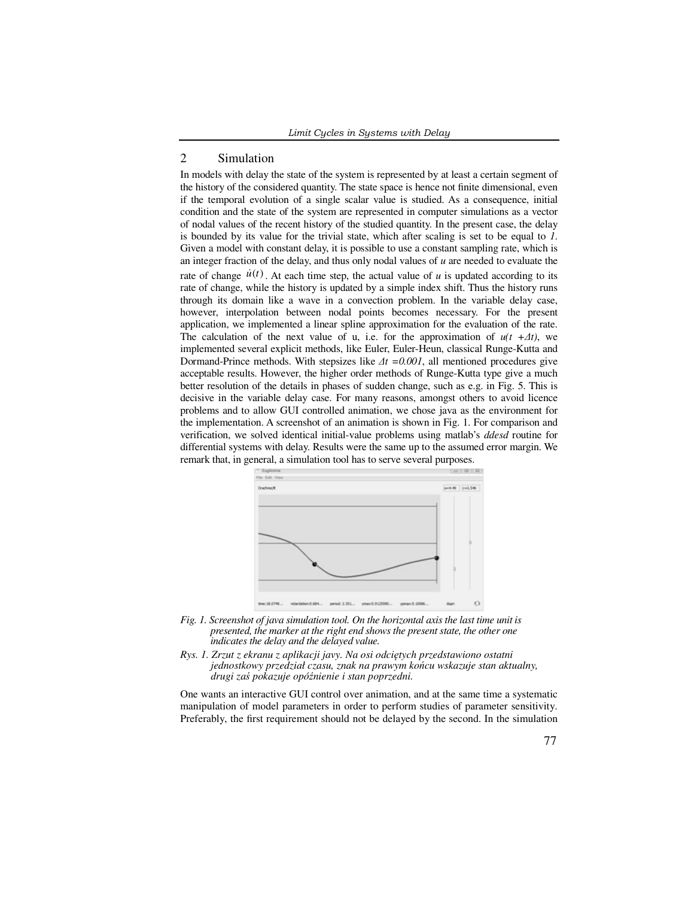## 2 Simulation

In models with delay the state of the system is represented by at least a certain segment of the history of the considered quantity. The state space is hence not finite dimensional, even if the temporal evolution of a single scalar value is studied. As a consequence, initial condition and the state of the system are represented in computer simulations as a vector of nodal values of the recent history of the studied quantity. In the present case, the delay is bounded by its value for the trivial state, which after scaling is set to be equal to *1*. Given a model with constant delay, it is possible to use a constant sampling rate, which is an integer fraction of the delay, and thus only nodal values of *u* are needed to evaluate the rate of change  $\dot{u}(t)$ . At each time step, the actual value of *u* is updated according to its rate of change, while the history is updated by a simple index shift. Thus the history runs through its domain like a wave in a convection problem. In the variable delay case, however, interpolation between nodal points becomes necessary. For the present application, we implemented a linear spline approximation for the evaluation of the rate. The calculation of the next value of u, i.e. for the approximation of  $u(t + \Delta t)$ , we implemented several explicit methods, like Euler, Euler-Heun, classical Runge-Kutta and Dormand-Prince methods. With stepsizes like *∆t =0.001*, all mentioned procedures give acceptable results. However, the higher order methods of Runge-Kutta type give a much better resolution of the details in phases of sudden change, such as e.g. in Fig. 5. This is decisive in the variable delay case. For many reasons, amongst others to avoid licence problems and to allow GUI controlled animation, we chose java as the environment for the implementation. A screenshot of an animation is shown in Fig. 1. For comparison and verification, we solved identical initial-value problems using matlab's *ddesd* routine for differential systems with delay. Results were the same up to the assumed error margin. We remark that, in general, a simulation tool has to serve several purposes.



- *Fig. 1. Screenshot of java simulation tool. On the horizontal axis the last time unit is presented, the marker at the right end shows the present state, the other one indicates the delay and the delayed value.*
- *Rys. 1. Zrzut z ekranu z aplikacji javy. Na osi odciętych przedstawiono ostatni jednostkowy przedział czasu, znak na prawym końcu wskazuje stan aktualny, drugi zaś pokazuje opóźnienie i stan poprzedni.*

One wants an interactive GUI control over animation, and at the same time a systematic manipulation of model parameters in order to perform studies of parameter sensitivity. Preferably, the first requirement should not be delayed by the second. In the simulation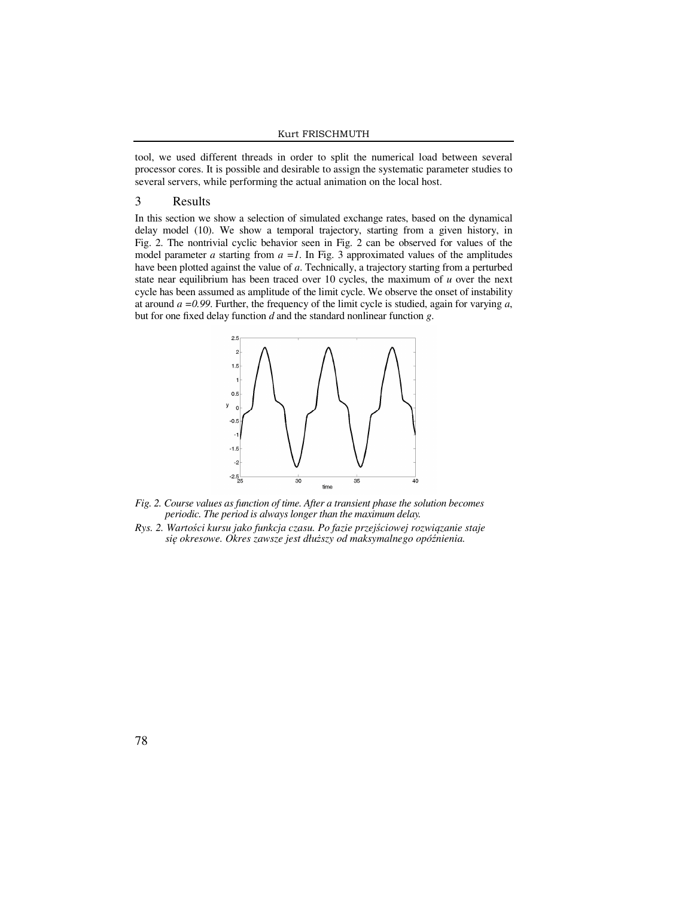#### Kurt FRISCHMUTH

tool, we used different threads in order to split the numerical load between several processor cores. It is possible and desirable to assign the systematic parameter studies to several servers, while performing the actual animation on the local host.

#### 3 Results

In this section we show a selection of simulated exchange rates, based on the dynamical delay model (10). We show a temporal trajectory, starting from a given history, in Fig. 2. The nontrivial cyclic behavior seen in Fig. 2 can be observed for values of the model parameter *a* starting from  $a =1$ . In Fig. 3 approximated values of the amplitudes have been plotted against the value of *a*. Technically, a trajectory starting from a perturbed state near equilibrium has been traced over 10 cycles, the maximum of *u* over the next cycle has been assumed as amplitude of the limit cycle. We observe the onset of instability at around *a =0.99*. Further, the frequency of the limit cycle is studied, again for varying *a*, but for one fixed delay function *d* and the standard nonlinear function *g*.



- *Fig. 2. Course values as function of time. After a transient phase the solution becomes periodic. The period is always longer than the maximum delay.*
- *Rys. 2. Wartości kursu jako funkcja czasu. Po fazie przejściowej rozwiązanie staje się okresowe. Okres zawsze jest dłuższy od maksymalnego opóźnienia.*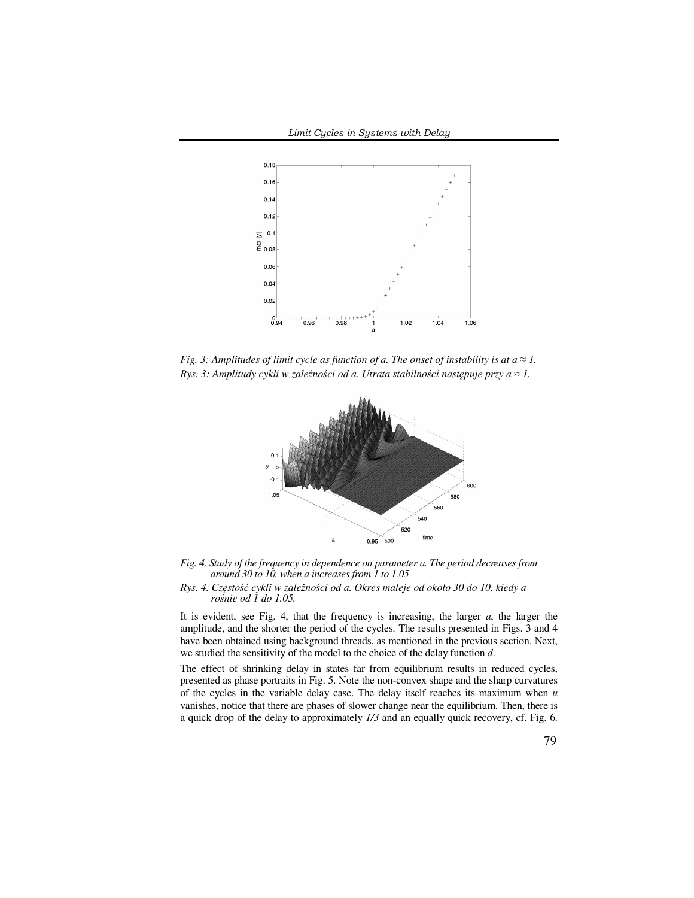

*Fig. 3: Amplitudes of limit cycle as function of a. The onset of instability is at*  $a \approx 1$ *. Rys. 3: Amplitudy cykli w zależności od a. Utrata stabilności następuje przy a ≈ 1.* 





*Rys. 4. Częstość cykli w zależności od a. Okres maleje od około 30 do 10, kiedy a rośnie od 1 do 1.05.* 

It is evident, see Fig. 4, that the frequency is increasing, the larger *a*, the larger the amplitude, and the shorter the period of the cycles. The results presented in Figs. 3 and 4 have been obtained using background threads, as mentioned in the previous section. Next, we studied the sensitivity of the model to the choice of the delay function *d*.

The effect of shrinking delay in states far from equilibrium results in reduced cycles, presented as phase portraits in Fig. 5. Note the non-convex shape and the sharp curvatures of the cycles in the variable delay case. The delay itself reaches its maximum when *u* vanishes, notice that there are phases of slower change near the equilibrium. Then, there is a quick drop of the delay to approximately *1/3* and an equally quick recovery, cf. Fig. 6.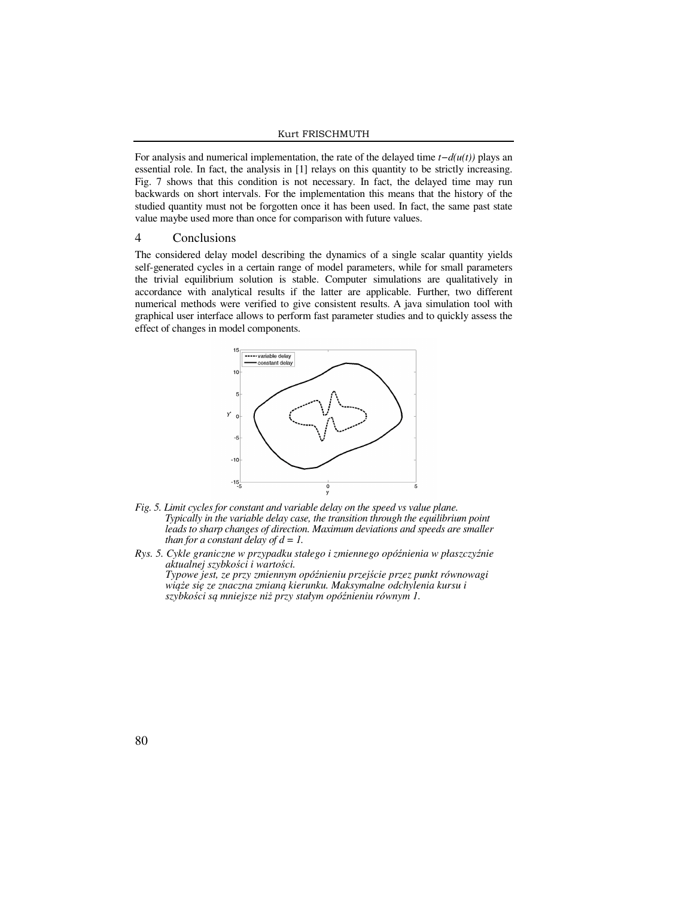#### Kurt FRISCHMUTH

For analysis and numerical implementation, the rate of the delayed time *t−d(u(t))* plays an essential role. In fact, the analysis in [1] relays on this quantity to be strictly increasing. Fig. 7 shows that this condition is not necessary. In fact, the delayed time may run backwards on short intervals. For the implementation this means that the history of the studied quantity must not be forgotten once it has been used. In fact, the same past state value maybe used more than once for comparison with future values.

## 4 Conclusions

The considered delay model describing the dynamics of a single scalar quantity yields self-generated cycles in a certain range of model parameters, while for small parameters the trivial equilibrium solution is stable. Computer simulations are qualitatively in accordance with analytical results if the latter are applicable. Further, two different numerical methods were verified to give consistent results. A java simulation tool with graphical user interface allows to perform fast parameter studies and to quickly assess the effect of changes in model components.



- *Fig. 5. Limit cycles for constant and variable delay on the speed vs value plane. Typically in the variable delay case, the transition through the equilibrium point*  leads to sharp changes of direction. Maximum deviations and speeds are smaller *than for a constant delay of d = 1.*
- *Rys. 5. Cykle graniczne w przypadku stałego i zmiennego opóźnienia w płaszczyźnie aktualnej szybkości i wartości. Typowe jest, ze przy zmiennym opóźnieniu przejście przez punkt równowagi wiąże się ze znaczna zmianą kierunku. Maksymalne odchylenia kursu i szybkości są mniejsze niż przy stałym opóźnieniu równym 1.*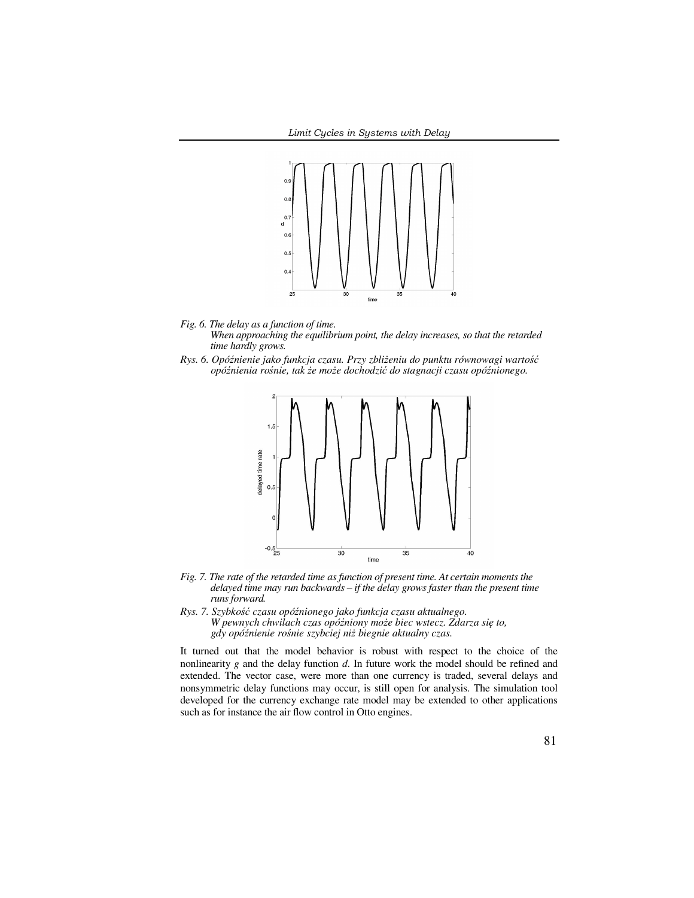

*Fig. 6. The delay as a function of time.* 

*When approaching the equilibrium point, the delay increases, so that the retarded time hardly grows.* 

*Rys. 6. Opóźnienie jako funkcja czasu. Przy zbliżeniu do punktu równowagi wartość opóźnienia rośnie, tak że może dochodzić do stagnacji czasu opóźnionego.* 



- *Fig. 7. The rate of the retarded time as function of present time. At certain moments the delayed time may run backwards – if the delay grows faster than the present time runs forward.*
- *Rys. 7. Szybkość czasu opóźnionego jako funkcja czasu aktualnego. W pewnych chwilach czas opóźniony może biec wstecz. Zdarza się to, gdy opóźnienie rośnie szybciej niż biegnie aktualny czas.*

It turned out that the model behavior is robust with respect to the choice of the nonlinearity *g* and the delay function *d*. In future work the model should be refined and extended. The vector case, were more than one currency is traded, several delays and nonsymmetric delay functions may occur, is still open for analysis. The simulation tool developed for the currency exchange rate model may be extended to other applications such as for instance the air flow control in Otto engines.